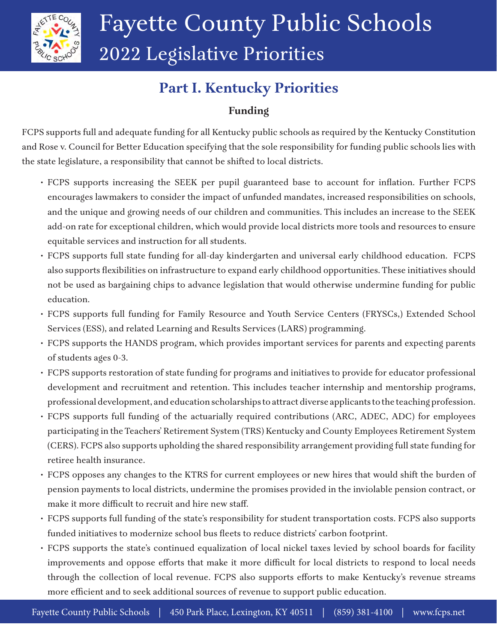

# **Part I. Kentucky Priorities**

# **Funding**

FCPS supports full and adequate funding for all Kentucky public schools as required by the Kentucky Constitution and Rose v. Council for Better Education specifying that the sole responsibility for funding public schools lies with the state legislature, a responsibility that cannot be shifted to local districts.

- FCPS supports increasing the SEEK per pupil guaranteed base to account for inflation. Further FCPS encourages lawmakers to consider the impact of unfunded mandates, increased responsibilities on schools, and the unique and growing needs of our children and communities. This includes an increase to the SEEK add-on rate for exceptional children, which would provide local districts more tools and resources to ensure equitable services and instruction for all students.
- FCPS supports full state funding for all-day kindergarten and universal early childhood education. FCPS also supports flexibilities on infrastructure to expand early childhood opportunities. These initiatives should not be used as bargaining chips to advance legislation that would otherwise undermine funding for public education.
- FCPS supports full funding for Family Resource and Youth Service Centers (FRYSCs,) Extended School Services (ESS), and related Learning and Results Services (LARS) programming.
- FCPS supports the HANDS program, which provides important services for parents and expecting parents of students ages 0-3.
- FCPS supports restoration of state funding for programs and initiatives to provide for educator professional development and recruitment and retention. This includes teacher internship and mentorship programs, professional development, and education scholarships to attract diverse applicants to the teaching profession.
- FCPS supports full funding of the actuarially required contributions (ARC, ADEC, ADC) for employees participating in the Teachers' Retirement System (TRS) Kentucky and County Employees Retirement System (CERS). FCPS also supports upholding the shared responsibility arrangement providing full state funding for retiree health insurance.
- FCPS opposes any changes to the KTRS for current employees or new hires that would shift the burden of pension payments to local districts, undermine the promises provided in the inviolable pension contract, or make it more difficult to recruit and hire new staff.
- FCPS supports full funding of the state's responsibility for student transportation costs. FCPS also supports funded initiatives to modernize school bus fleets to reduce districts' carbon footprint.
- FCPS supports the state's continued equalization of local nickel taxes levied by school boards for facility improvements and oppose efforts that make it more difficult for local districts to respond to local needs through the collection of local revenue. FCPS also supports efforts to make Kentucky's revenue streams more efficient and to seek additional sources of revenue to support public education.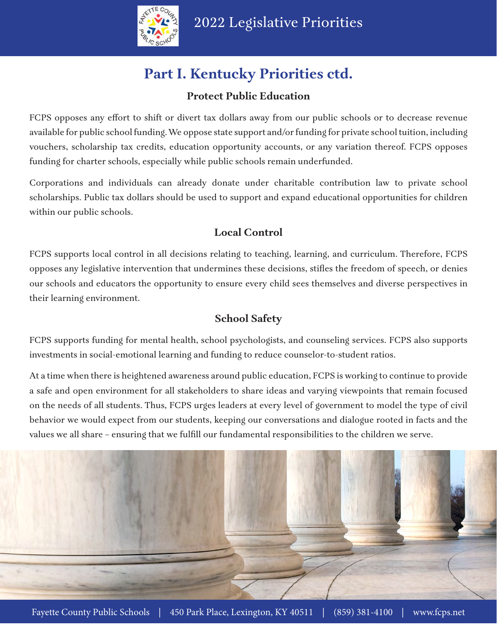

# **Part I. Kentucky Priorities ctd.**

#### **Protect Public Education**

FCPS opposes any effort to shift or divert tax dollars away from our public schools or to decrease revenue available for public school funding. We oppose state support and/or funding for private school tuition, including vouchers, scholarship tax credits, education opportunity accounts, or any variation thereof. FCPS opposes funding for charter schools, especially while public schools remain underfunded.

Corporations and individuals can already donate under charitable contribution law to private school scholarships. Public tax dollars should be used to support and expand educational opportunities for children within our public schools.

# **Local Control**

FCPS supports local control in all decisions relating to teaching, learning, and curriculum. Therefore, FCPS opposes any legislative intervention that undermines these decisions, stifles the freedom of speech, or denies our schools and educators the opportunity to ensure every child sees themselves and diverse perspectives in their learning environment.

## **School Safety**

FCPS supports funding for mental health, school psychologists, and counseling services. FCPS also supports investments in social-emotional learning and funding to reduce counselor-to-student ratios.

At a time when there is heightened awareness around public education, FCPS is working to continue to provide a safe and open environment for all stakeholders to share ideas and varying viewpoints that remain focused on the needs of all students. Thus, FCPS urges leaders at every level of government to model the type of civil behavior we would expect from our students, keeping our conversations and dialogue rooted in facts and the values we all share – ensuring that we fulfill our fundamental responsibilities to the children we serve.

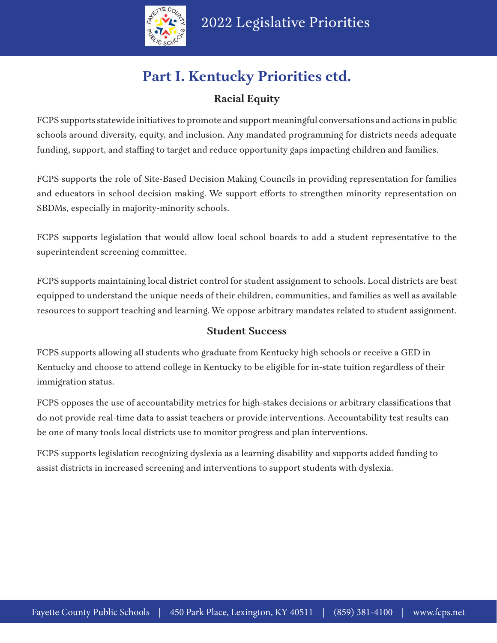

# **Part I. Kentucky Priorities ctd.**

# **Racial Equity**

FCPS supports statewide initiatives to promote and support meaningful conversations and actions in public schools around diversity, equity, and inclusion. Any mandated programming for districts needs adequate funding, support, and staffing to target and reduce opportunity gaps impacting children and families.

FCPS supports the role of Site-Based Decision Making Councils in providing representation for families and educators in school decision making. We support efforts to strengthen minority representation on SBDMs, especially in majority-minority schools.

FCPS supports legislation that would allow local school boards to add a student representative to the superintendent screening committee.

FCPS supports maintaining local district control for student assignment to schools. Local districts are best equipped to understand the unique needs of their children, communities, and families as well as available resources to support teaching and learning. We oppose arbitrary mandates related to student assignment.

#### **Student Success**

FCPS supports allowing all students who graduate from Kentucky high schools or receive a GED in Kentucky and choose to attend college in Kentucky to be eligible for in-state tuition regardless of their immigration status.

FCPS opposes the use of accountability metrics for high-stakes decisions or arbitrary classifications that do not provide real-time data to assist teachers or provide interventions. Accountability test results can be one of many tools local districts use to monitor progress and plan interventions.

FCPS supports legislation recognizing dyslexia as a learning disability and supports added funding to assist districts in increased screening and interventions to support students with dyslexia.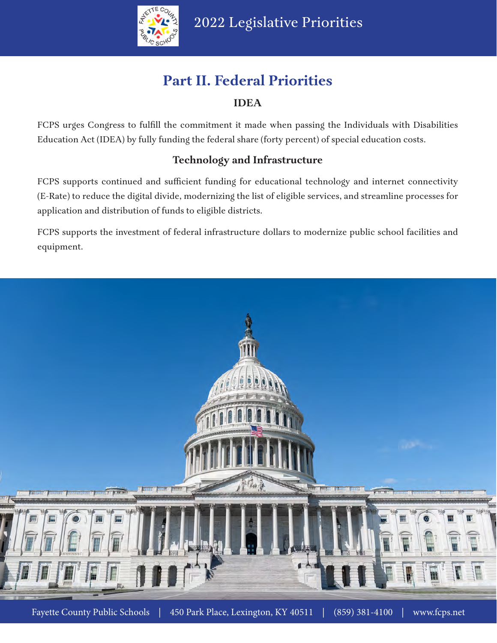

# **Part II. Federal Priorities**

## **IDEA**

FCPS urges Congress to fulfill the commitment it made when passing the Individuals with Disabilities Education Act (IDEA) by fully funding the federal share (forty percent) of special education costs.

## **Technology and Infrastructure**

FCPS supports continued and sufficient funding for educational technology and internet connectivity (E-Rate) to reduce the digital divide, modernizing the list of eligible services, and streamline processes for application and distribution of funds to eligible districts.

FCPS supports the investment of federal infrastructure dollars to modernize public school facilities and equipment.